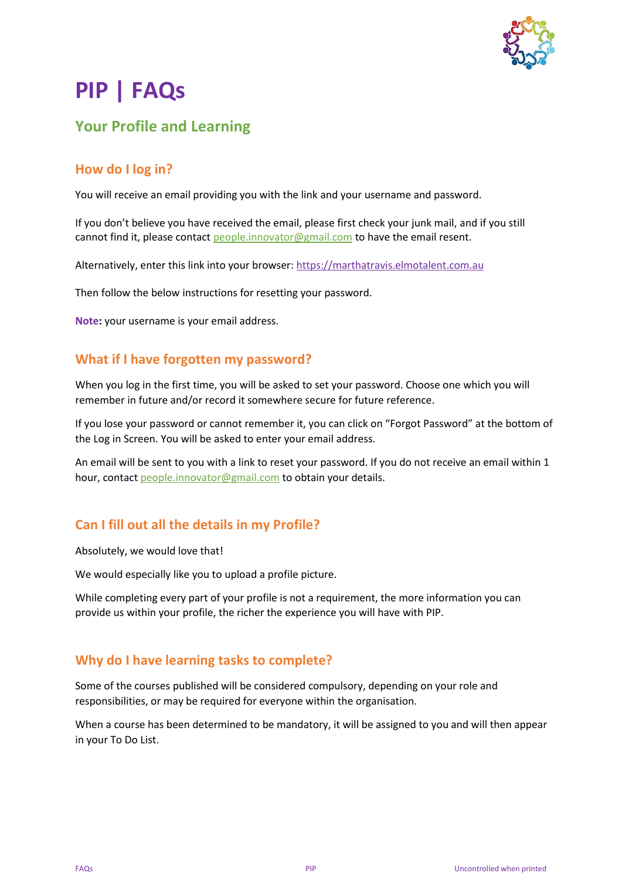

# **PIP | FAQs**

# **Your Profile and Learning**

# **How do I log in?**

You will receive an email providing you with the link and your username and password.

If you don't believe you have received the email, please first check your junk mail, and if you still cannot find it, please contact [people.innovator@gmail.com](mailto:people.innovator@gmail.com?subject=SCFD%20|%20PIP%20Help) to have the email resent.

Alternatively, enter this link into your browser[: https://marthatravis.elmotalent.com.au](https://marthatravis.elmotalent.com.au/)

Then follow the below instructions for resetting your password.

**Note:** your username is your email address.

#### **What if I have forgotten my password?**

When you log in the first time, you will be asked to set your password. Choose one which you will remember in future and/or record it somewhere secure for future reference.

If you lose your password or cannot remember it, you can click on "Forgot Password" at the bottom of the Log in Screen. You will be asked to enter your email address.

An email will be sent to you with a link to reset your password. If you do not receive an email within 1 hour, contact [people.innovator@gmail.com](mailto:people.innovator@gmail.com?subject=SCFD%20|%20PIP%20Help) to obtain your details.

# **Can I fill out all the details in my Profile?**

Absolutely, we would love that!

We would especially like you to upload a profile picture.

While completing every part of your profile is not a requirement, the more information you can provide us within your profile, the richer the experience you will have with PIP.

#### **Why do I have learning tasks to complete?**

Some of the courses published will be considered compulsory, depending on your role and responsibilities, or may be required for everyone within the organisation.

When a course has been determined to be mandatory, it will be assigned to you and will then appear in your To Do List.